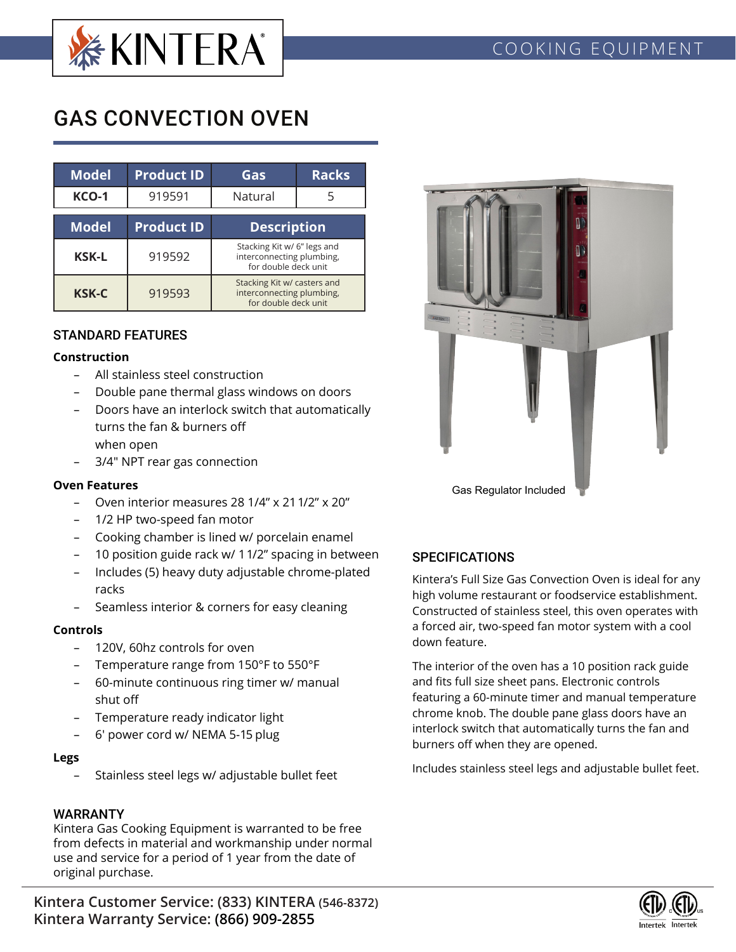

# GAS CONVECTION OVEN

| Model        | <b>Product ID</b> | Gas                                                                              | <b>Racks</b> |  |  |  |
|--------------|-------------------|----------------------------------------------------------------------------------|--------------|--|--|--|
| <b>KCO-1</b> | 919591            | Natural                                                                          |              |  |  |  |
| <b>Model</b> | <b>Product ID</b> | <b>Description</b>                                                               |              |  |  |  |
| <b>KSK-L</b> | 919592            | Stacking Kit w/ 6" legs and<br>interconnecting plumbing,<br>for double deck unit |              |  |  |  |
| <b>KSK-C</b> | 919593            | Stacking Kit w/ casters and<br>interconnecting plumbing,<br>for double deck unit |              |  |  |  |

## STANDARD FEATURES

#### **Construction**

- All stainless steel construction
- Double pane thermal glass windows on doors
- Doors have an interlock switch that automatically turns the fan & burners off when open
- 3/4" NPT rear gas connection

#### **Oven Features**

- Oven interior measures 28 1/4" x 21 1/2" x 20"
- 1/2 HP two-speed fan motor
- Cooking chamber is lined w/ porcelain enamel
- 10 position guide rack w/ 1 1/2" spacing in between
- Includes (5) heavy duty adjustable chrome-plated racks
- Seamless interior & corners for easy cleaning

## **Controls**

- 120V, 60hz controls for oven
- Temperature range from 150°F to 550°F
- 60-minute continuous ring timer w/ manual shut off
- Temperature ready indicator light
- 6' power cord w/ NEMA 5-15 plug

#### **Legs**

Stainless steel legs w/ adjustable bullet feet

## WARRANTY

Kintera Gas Cooking Equipment is warranted to be free from defects in material and workmanship under normal use and service for a period of 1 year from the date of original purchase.



# **SPECIFICATIONS**

Kintera's Full Size Gas Convection Oven is ideal for any high volume restaurant or foodservice establishment. Constructed of stainless steel, this oven operates with a forced air, two-speed fan motor system with a cool down feature.

The interior of the oven has a 10 position rack guide and fits full size sheet pans. Electronic controls featuring a 60-minute timer and manual temperature chrome knob. The double pane glass doors have an interlock switch that automatically turns the fan and burners off when they are opened.

Includes stainless steel legs and adjustable bullet feet.